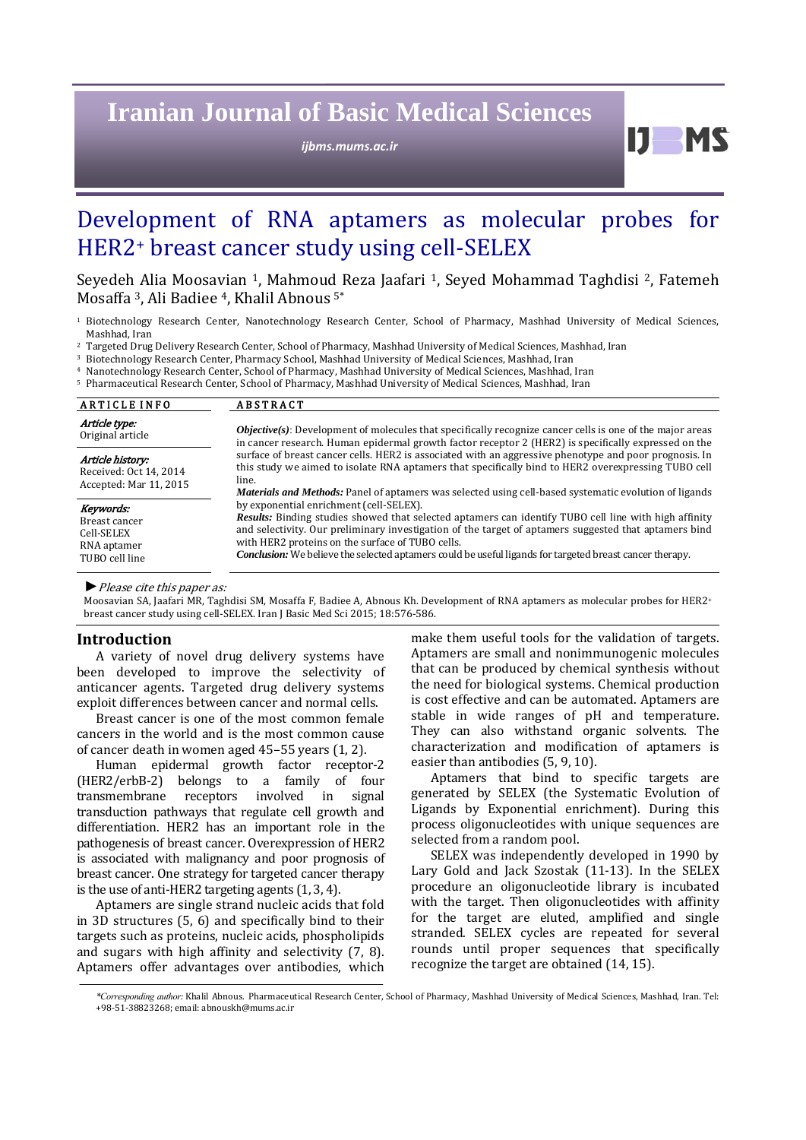# **Iranian Journal of Basic Medical Sciences**

*ijbms.mums.ac.ir*

# Development of RNA aptamers as molecular probes for HER2+ breast cancer study using cell-SELEX

Seyedeh Alia Moosavian <sup>1</sup>, Mahmoud Reza Jaafari <sup>1</sup>, Seyed Mohammad Taghdisi <sup>2</sup>, Fatemeh Mosaffa<sup>3</sup>, Ali Badiee<sup>4</sup>, Khalil Abnous<sup>5\*</sup>

<sup>1</sup> Biotechnology Research Center, Nanotechnology Research Center, School of Pharmacy, Mashhad University of Medical Sciences, Mashhad, Iran

<sup>2</sup> Targeted Drug Delivery Research Center, School of Pharmacy, Mashhad University of Medical Sciences, Mashhad, Iran

<sup>3</sup> Biotechnology Research Center, Pharmacy School, Mashhad University of Medical Sciences, Mashhad, Iran

<sup>4</sup> Nanotechnology Research Center, School of Pharmacy, Mashhad University of Medical Sciences, Mashhad, Iran

<sup>5</sup> Pharmaceutical Research Center, School of Pharmacy, Mashhad University of Medical Sciences, Mashhad, Iran

| <b>ARTICLE INFO</b>                                                       | <b>ABSTRACT</b>                                                                                                                                                                                                                                                                                                                                                                                                                                                                                                                                          |  |
|---------------------------------------------------------------------------|----------------------------------------------------------------------------------------------------------------------------------------------------------------------------------------------------------------------------------------------------------------------------------------------------------------------------------------------------------------------------------------------------------------------------------------------------------------------------------------------------------------------------------------------------------|--|
| Article type:                                                             | Objective(s): Development of molecules that specifically recognize cancer cells is one of the major areas                                                                                                                                                                                                                                                                                                                                                                                                                                                |  |
| Original article                                                          | in cancer research. Human epidermal growth factor receptor 2 (HER2) is specifically expressed on the                                                                                                                                                                                                                                                                                                                                                                                                                                                     |  |
| Article history:                                                          | surface of breast cancer cells. HER2 is associated with an aggressive phenotype and poor prognosis. In                                                                                                                                                                                                                                                                                                                                                                                                                                                   |  |
| Received: Oct 14, 2014                                                    | this study we aimed to isolate RNA aptamers that specifically bind to HER2 overexpressing TUBO cell                                                                                                                                                                                                                                                                                                                                                                                                                                                      |  |
| Accepted: Mar 11, 2015                                                    | line.                                                                                                                                                                                                                                                                                                                                                                                                                                                                                                                                                    |  |
| Keywords:<br>Breast cancer<br>Cell-SELEX<br>RNA aptamer<br>TUBO cell line | <i>Materials and Methods:</i> Panel of aptamers was selected using cell-based systematic evolution of ligands<br>by exponential enrichment (cell-SELEX).<br><b>Results:</b> Binding studies showed that selected aptamers can identify TUBO cell line with high affinity<br>and selectivity. Our preliminary investigation of the target of aptamers suggested that aptamers bind<br>with HER2 proteins on the surface of TUBO cells.<br><b>Conclusion:</b> We believe the selected aptamers could be useful ligands for targeted breast cancer therapy. |  |

▶ *Please cite this paper as:* 

Moosavian SA, Jaafari MR, Taghdisi SM, Mosaffa F, Badiee A, Abnous Kh. Development of RNA aptamers as molecular probes for HER2+ breast cancer study using cell-SELEX. Iran J Basic Med Sci 2015; 18:576-586.

#### **Introduction**

A variety of novel drug delivery systems have been developed to improve the selectivity of anticancer agents. Targeted drug delivery systems exploit differences between cancer and normal cells.

Breast cancer is one of the most common female cancers in the world and is the most common cause of cancer death in women aged  $45-55$  years  $(1, 2)$ .

Human epidermal growth factor receptor-2 (HER2/erbB‐2) belongs to a family of four transmembrane receptors involved in signal transduction pathways that regulate cell growth and differentiation. HER2 has an important role in the pathogenesis of breast cancer. Overexpression of HER2 is associated with malignancy and poor prognosis of breast cancer. One strategy for targeted cancer therapy is the use of anti-HER2 targeting agents  $(1, 3, 4)$ .

Aptamers are single strand nucleic acids that fold in 3D structures  $(5, 6)$  and specifically bind to their targets such as proteins, nucleic acids, phospholipids and sugars with high affinity and selectivity  $(7, 8)$ . Aptamers offer advantages over antibodies, which  make them useful tools for the validation of targets. Aptamers are small and nonimmunogenic molecules that can be produced by chemical synthesis without the need for biological systems. Chemical production is cost effective and can be automated. Aptamers are stable in wide ranges of pH and temperature. They can also withstand organic solvents. The characterization and modification of aptamers is easier than antibodies (5, 9, 10).

**bl** 

Aptamers that bind to specific targets are generated by SELEX (the Systematic Evolution of Ligands by Exponential enrichment). During this process oligonucleotides with unique sequences are selected from a random pool.

SELEX was independently developed in 1990 by Lary Gold and Jack Szostak (11-13). In the SELEX procedure an oligonucleotide library is incubated with the target. Then oligonucleotides with affinity for the target are eluted, amplified and single stranded. SELEX cycles are repeated for several rounds until proper sequences that specifically recognize the target are obtained  $(14, 15)$ .

*<sup>\*</sup>Corresponding author:* Khalil Abnous. Pharmaceutical Research Center, School of Pharmacy, Mashhad University of Medical Sciences, Mashhad, Iran. Tel: +98‐51‐38823268; email: abnouskh@mums.ac.ir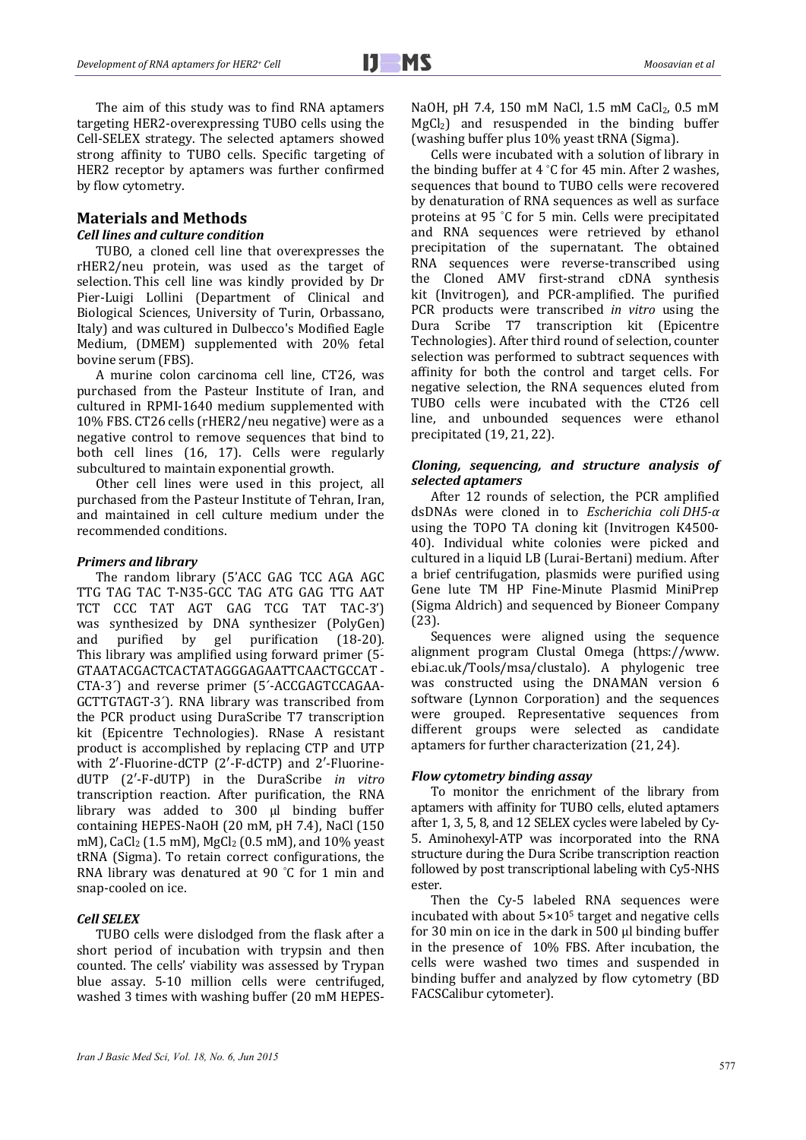The aim of this study was to find RNA aptamers targeting HER2-overexpressing TUBO cells using the Cell-SELEX strategy. The selected aptamers showed strong affinity to TUBO cells. Specific targeting of HER2 receptor by aptamers was further confirmed by flow cytometry.

# **Materials and Methods**

## *Cell lines and culture condition*

TUBO, a cloned cell line that overexpresses the rHER2/neu protein, was used as the target of selection. This cell line was kindly provided by Dr Pier-Luigi Lollini (Department of Clinical and Biological Sciences, University of Turin, Orbassano, Italy) and was cultured in Dulbecco's Modified Eagle Medium, (DMEM) supplemented with 20% fetal bovine serum (FBS).

A murine colon carcinoma cell line, CT26, was purchased from the Pasteur Institute of Iran, and cultured in RPMI-1640 medium supplemented with 10% FBS. CT26 cells (rHER2/neu negative) were as a negative control to remove sequences that bind to both cell lines (16, 17). Cells were regularly subcultured to maintain exponential growth.

Other cell lines were used in this project, all purchased from the Pasteur Institute of Tehran, Iran, and maintained in cell culture medium under the recommended conditions.

#### *Primers and library*

The random library (5'ACC GAG TCC AGA AGC TTG TAG TAC T-N35-GCC TAG ATG GAG TTG AAT TCT CCC TAT AGT GAG TCG TAT TAC-3') was synthesized by DNA synthesizer (PolyGen) and purified by gel purification (18-20). This library was amplified using forward primer  $(5 -$ GTAATACGACTCACTATAGGGAGAATTCAACTGCCAT ‐ CTA-3<sup>^</sup>) and reverse primer (5'-ACCGAGTCCAGAA-GCTTGTAGT-3<sup>'</sup>). RNA library was transcribed from the PCR product using DuraScribe T7 transcription kit (Epicentre Technologies). RNase A resistant product is accomplished by replacing CTP and UTP with 2'-Fluorine-dCTP (2'-F-dCTP) and 2'-FluorinedUTP (2′‐F‐dUTP) in the DuraScribe *in vitro* transcription reaction. After purification, the RNA library was added to 300 µl binding buffer containing HEPES-NaOH (20 mM, pH 7.4), NaCl (150 mM), CaCl<sub>2</sub> (1.5 mM), MgCl<sub>2</sub> (0.5 mM), and 10% yeast tRNA (Sigma). To retain correct configurations, the RNA library was denatured at 90  $°C$  for 1 min and snap-cooled on ice.

### *Cell SELEX*

TUBO cells were dislodged from the flask after a short period of incubation with trypsin and then counted. The cells' viability was assessed by Trypan blue assay. 5-10 million cells were centrifuged, washed 3 times with washing buffer (20 mM HEPES- NaOH, pH 7.4, 150 mM NaCl, 1.5 mM CaCl<sub>2</sub>, 0.5 mM  $MgCl<sub>2</sub>$  and resuspended in the binding buffer (washing buffer plus 10% yeast tRNA (Sigma).

Cells were incubated with a solution of library in the binding buffer at  $4 \degree C$  for  $45 \text{ min.}$  After 2 washes, sequences that bound to TUBO cells were recovered by denaturation of RNA sequences as well as surface proteins at 95 °C for 5 min. Cells were precipitated and RNA sequences were retrieved by ethanol precipitation of the supernatant. The obtained RNA sequences were reverse-transcribed using the Cloned AMV first-strand cDNA synthesis kit (Invitrogen), and PCR-amplified. The purified PCR products were transcribed *in vitro* using the Dura Scribe T7 transcription kit (Epicentre Technologies). After third round of selection, counter selection was performed to subtract sequences with affinity for both the control and target cells. For negative selection, the RNA sequences eluted from TUBO cells were incubated with the CT26 cell line, and unbounded sequences were ethanol precipitated  $(19, 21, 22)$ .

# *Cloning, sequencing, and structure analysis of selected aptamers*

After 12 rounds of selection, the PCR amplified dsDNAs were cloned in to *Escherichia coli DH5‐α* using the TOPO TA cloning kit (Invitrogen K4500-40). Individual white colonies were picked and cultured in a liquid LB (Lurai-Bertani) medium. After a brief centrifugation, plasmids were purified using Gene lute TM HP Fine-Minute Plasmid MiniPrep (Sigma Aldrich) and sequenced by Bioneer Company (23). 

Sequences were aligned using the sequence alignment program Clustal Omega (https://www. ebi.ac.uk/Tools/msa/clustalo). A phylogenic tree was constructed using the DNAMAN version 6 software (Lynnon Corporation) and the sequences were grouped. Representative sequences from different groups were selected as candidate aptamers for further characterization (21, 24).

# *Flow cytometry binding assay*

To monitor the enrichment of the library from aptamers with affinity for TUBO cells, eluted aptamers after 1, 3, 5, 8, and 12 SELEX cycles were labeled by Cy-5. Aminohexyl-ATP was incorporated into the RNA structure during the Dura Scribe transcription reaction followed by post transcriptional labeling with Cy5-NHS ester. 

Then the Cy-5 labeled RNA sequences were incubated with about  $5\times10^5$  target and negative cells for 30 min on ice in the dark in  $500$  µl binding buffer in the presence of  $10\%$  FBS. After incubation, the cells were washed two times and suspended in binding buffer and analyzed by flow cytometry (BD FACSCalibur cytometer).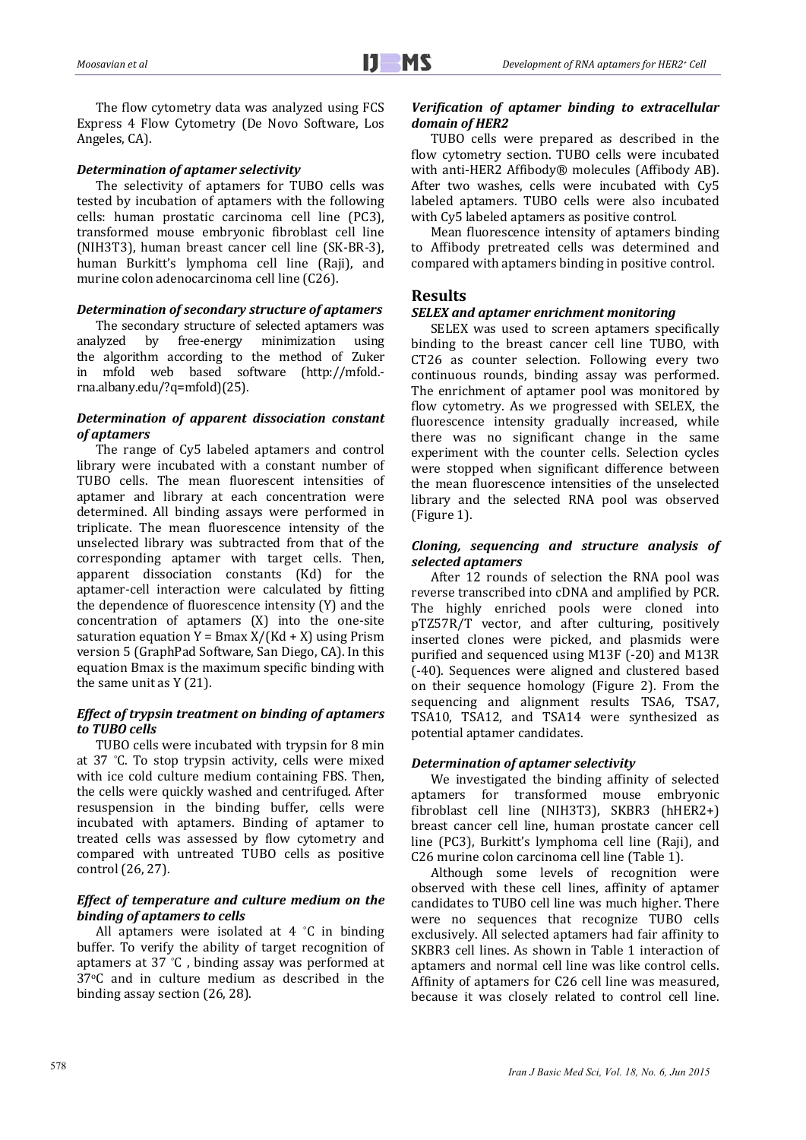The flow cytometry data was analyzed using FCS Express 4 Flow Cytometry (De Novo Software, Los Angeles, CA).

# *Determination of aptamer selectivity*

The selectivity of aptamers for TUBO cells was tested by incubation of aptamers with the following cells: human prostatic carcinoma cell line (PC3), transformed mouse embryonic fibroblast cell line (NIH3T3), human breast cancer cell line (SK-BR-3), human Burkitt's lymphoma cell line (Raji), and murine colon adenocarcinoma cell line (C26).

## *Determination of secondary structure of aptamers*

The secondary structure of selected aptamers was analyzed by free-energy minimization using the algorithm according to the method of Zuker in mfold web based software (http://mfold.rna.albany.edu/?q=mfold)(25). 

## *Determination of apparent dissociation constant of aptamers*

The range of Cy5 labeled aptamers and control library were incubated with a constant number of TUBO cells. The mean fluorescent intensities of aptamer and library at each concentration were determined. All binding assays were performed in triplicate. The mean fluorescence intensity of the unselected library was subtracted from that of the corresponding aptamer with target cells. Then, apparent dissociation constants (Kd) for the aptamer-cell interaction were calculated by fitting the dependence of fluorescence intensity  $(Y)$  and the concentration of aptamers  $(X)$  into the one-site saturation equation  $Y = Bmax X/(Kd + X)$  using Prism version 5 (GraphPad Software, San Diego, CA). In this equation Bmax is the maximum specific binding with the same unit as  $Y(21)$ .

## *Effect of trypsin treatment on binding of aptamers to TUBO cells*

TUBO cells were incubated with trypsin for 8 min at 37 °C. To stop trypsin activity, cells were mixed with ice cold culture medium containing FBS. Then, the cells were quickly washed and centrifuged. After resuspension in the binding buffer, cells were incubated with aptamers. Binding of aptamer to treated cells was assessed by flow cytometry and compared with untreated TUBO cells as positive control (26, 27).

# *Effect of temperature and culture medium on the binding of aptamers to cells*

All aptamers were isolated at  $4 \degree C$  in binding buffer. To verify the ability of target recognition of aptamers at  $37$  °C, binding assay was performed at 37<sup>o</sup>C and in culture medium as described in the binding assay section (26, 28).

## *Verification of aptamer binding to extracellular domain of HER2*

TUBO cells were prepared as described in the flow cytometry section. TUBO cells were incubated with anti-HER2 Affibody® molecules (Affibody AB). After two washes, cells were incubated with  $Cv5$ labeled aptamers. TUBO cells were also incubated with Cv5 labeled aptamers as positive control.

Mean fluorescence intensity of aptamers binding to Affibody pretreated cells was determined and compared with aptamers binding in positive control.

# **Results**

# *SELEX and aptamer enrichment monitoring*

SELEX was used to screen aptamers specifically binding to the breast cancer cell line TUBO, with CT26 as counter selection. Following every two continuous rounds, binding assay was performed. The enrichment of aptamer pool was monitored by flow cytometry. As we progressed with SELEX, the fluorescence intensity gradually increased, while there was no significant change in the same experiment with the counter cells. Selection cycles were stopped when significant difference between the mean fluorescence intensities of the unselected library and the selected RNA pool was observed  $(Figure 1)$ .

# *Cloning, sequencing and structure analysis of selected aptamers*

After 12 rounds of selection the RNA pool was reverse transcribed into cDNA and amplified by PCR. The highly enriched pools were cloned into pTZ57R/T vector, and after culturing, positively inserted clones were picked, and plasmids were purified and sequenced using M13F (-20) and M13R (‐40). Sequences were aligned and clustered based on their sequence homology (Figure 2). From the sequencing and alignment results TSA6, TSA7, TSA10, TSA12, and TSA14 were synthesized as potential aptamer candidates.

# *Determination of aptamer selectivity*

We investigated the binding affinity of selected aptamers for transformed mouse embryonic fibroblast cell line (NIH3T3), SKBR3 (hHER2+) breast cancer cell line, human prostate cancer cell line (PC3), Burkitt's lymphoma cell line (Raji), and C26 murine colon carcinoma cell line (Table 1).

Although some levels of recognition were observed with these cell lines, affinity of aptamer candidates to TUBO cell line was much higher. There were no sequences that recognize TUBO cells exclusively. All selected aptamers had fair affinity to SKBR3 cell lines. As shown in Table 1 interaction of aptamers and normal cell line was like control cells. Affinity of aptamers for C26 cell line was measured, because it was closely related to control cell line.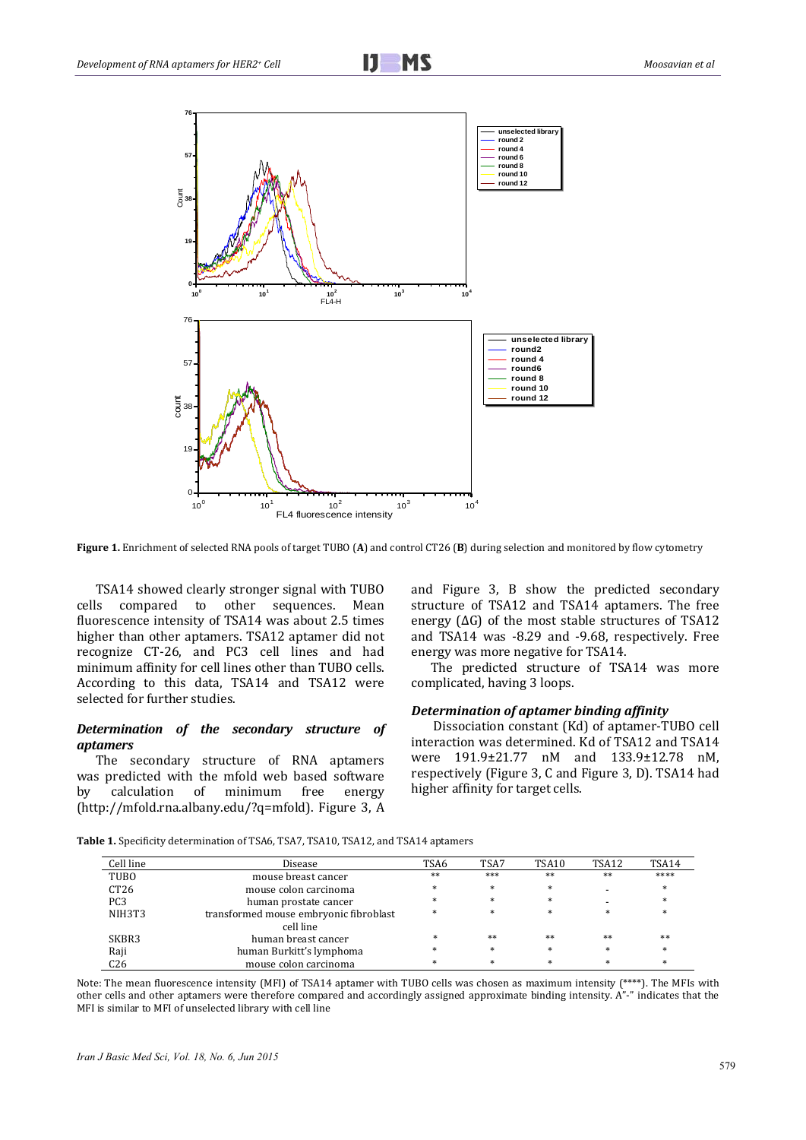



**Figure 1.** Enrichment of selected RNA pools of target TUBO (A) and control CT26 (B) during selection and monitored by flow cytometry

TSA14 showed clearly stronger signal with TUBO cells compared to other sequences. Mean fluorescence intensity of TSA14 was about 2.5 times higher than other aptamers. TSA12 aptamer did not recognize CT-26, and PC3 cell lines and had minimum affinity for cell lines other than TUBO cells. According to this data, TSA14 and TSA12 were selected for further studies.

## *Determination of the secondary structure of aptamers*

The secondary structure of RNA aptamers was predicted with the mfold web based software by calculation of minimum free energy (http://mfold.rna.albany.edu/?q=mfold). Figure 3, A  and Figure 3, B show the predicted secondary structure of TSA12 and TSA14 aptamers. The free energy  $( \Delta G )$  of the most stable structures of TSA12 and TSA14 was -8.29 and -9.68, respectively. Free energy was more negative for TSA14.

The predicted structure of TSA14 was more complicated, having 3 loops.

## *Determination of aptamer binding affinity*

Dissociation constant (Kd) of aptamer-TUBO cell interaction was determined. Kd of TSA12 and TSA14 were 191.9±21.77 nM and 133.9±12.78 nM, respectively (Figure 3, C and Figure 3, D). TSA14 had higher affinity for target cells.

**Table 1.** Specificity determination of TSA6, TSA7, TSA10, TSA12, and TSA14 aptamers

| Cell line        | Disease                                | TSA6   | TSA7   | TSA10  | TSA12  | TSA14  |
|------------------|----------------------------------------|--------|--------|--------|--------|--------|
| TUBO             | mouse breast cancer                    | $**$   | ***    | **     | $**$   | ****   |
| CT <sub>26</sub> | mouse colon carcinoma                  | $\ast$ | $*$    | $\ast$ |        | $*$    |
| PC <sub>3</sub>  | human prostate cancer                  | *      | $*$    | $\ast$ |        | $*$    |
| NIH3T3           | transformed mouse embryonic fibroblast | $\ast$ | $*$    | $\ast$ | $\ast$ | $\ast$ |
|                  | cell line                              |        |        |        |        |        |
| SKBR3            | human breast cancer                    | $\ast$ | **     | **     | **     | **     |
| Raji             | human Burkitt's lymphoma               | $\ast$ | $\ast$ | $\ast$ | $*$    | $\ast$ |
| C26              | mouse colon carcinoma                  | $\ast$ | $*$    | $\ast$ | $\ast$ | ×      |

Note: The mean fluorescence intensity (MFI) of TSA14 aptamer with TUBO cells was chosen as maximum intensity (\*\*\*\*). The MFIs with other cells and other aptamers were therefore compared and accordingly assigned approximate binding intensity. A"-" indicates that the MFI is similar to MFI of unselected library with cell line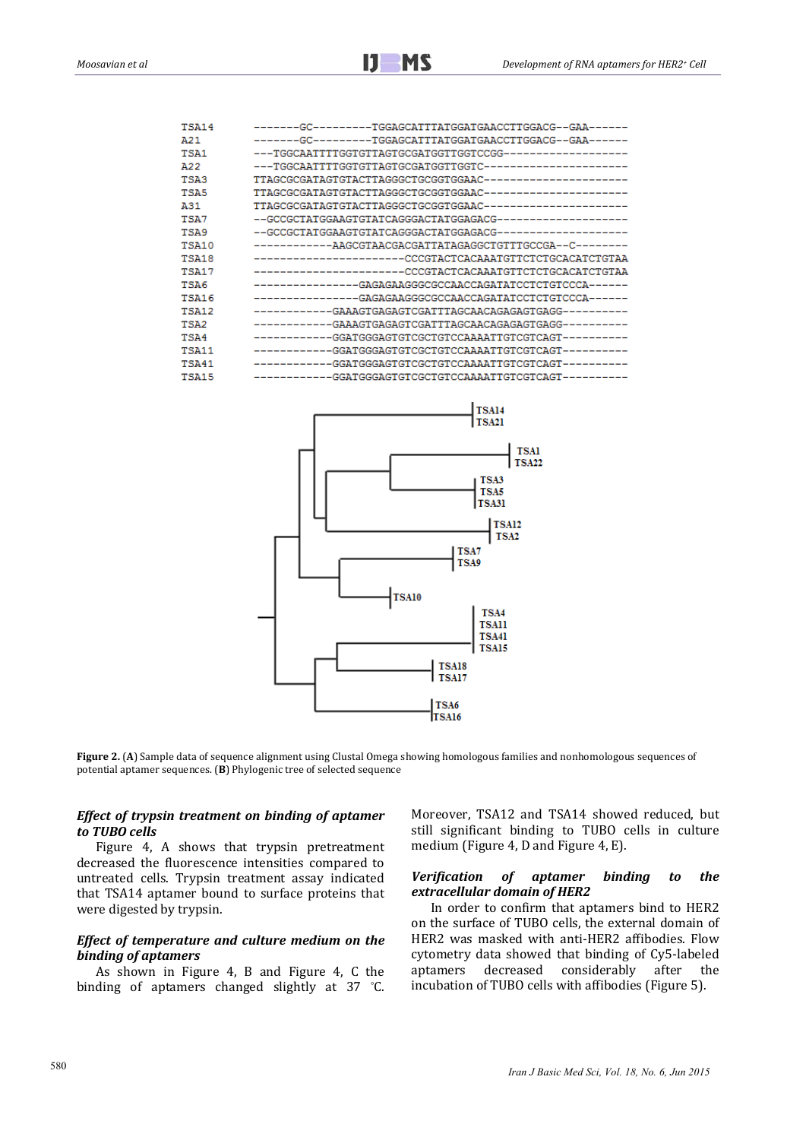| <b>TSA14</b> | -------GC---------TGGAGCATTTATGGATGAACCTTGGACG--GAA------  |
|--------------|------------------------------------------------------------|
| A21          | -------GC--------TGGAGCATTTATGGATGAACCTTGGACG--GAA------   |
| TSA1         |                                                            |
| A22          |                                                            |
| <b>TSA3</b>  |                                                            |
| TSA5         |                                                            |
| A31          |                                                            |
| TSA7         |                                                            |
| TSA9         |                                                            |
| TSA10        | ------------AAGCGTAACGACGATTATAGAGGCTGTTTGCCGA--C--------  |
| TSA18        | ------------------------CCCGTACTCACAAATGTTCTCTGCACATCTGTAA |
| <b>TSA17</b> | -----------------------CCCGTACTCACAAATGTTCTCTGCACATCTGTAA  |
| TSA6         | ---------------GAGAGAAGGCCCCAACCAGATATCCTCTGTCCCA------    |
| TSA16        | ---------------GAGAGAAGGCCCCAACCAGATATCCTCTGTCCCA------    |
| TSA12        |                                                            |
| TSA2         |                                                            |
| TSA4         |                                                            |
| <b>TSA11</b> |                                                            |
| <b>TSA41</b> |                                                            |
| <b>TSA15</b> |                                                            |
|              |                                                            |



**Figure 2. (A)** Sample data of sequence alignment using Clustal Omega showing homologous families and nonhomologous sequences of potential aptamer sequences. (B) Phylogenic tree of selected sequence

## *Effect of trypsin treatment on binding of aptamer to TUBO cells*

Figure 4, A shows that trypsin pretreatment decreased the fluorescence intensities compared to untreated cells. Trypsin treatment assay indicated that TSA14 aptamer bound to surface proteins that were digested by trypsin.

# *Effect of temperature and culture medium on the binding of aptamers*

As shown in Figure 4, B and Figure 4, C the binding of aptamers changed slightly at 37 °C. Moreover, TSA12 and TSA14 showed reduced, but still significant binding to TUBO cells in culture medium (Figure 4, D and Figure 4, E).

## *Verification of aptamer binding to the extracellular domain of HER2*

In order to confirm that aptamers bind to HER2 on the surface of TUBO cells, the external domain of HER2 was masked with anti-HER2 affibodies. Flow cytometry data showed that binding of Cy5-labeled<br>aptamers decreased considerably after the aptamers decreased considerably after the incubation of TUBO cells with affibodies (Figure 5).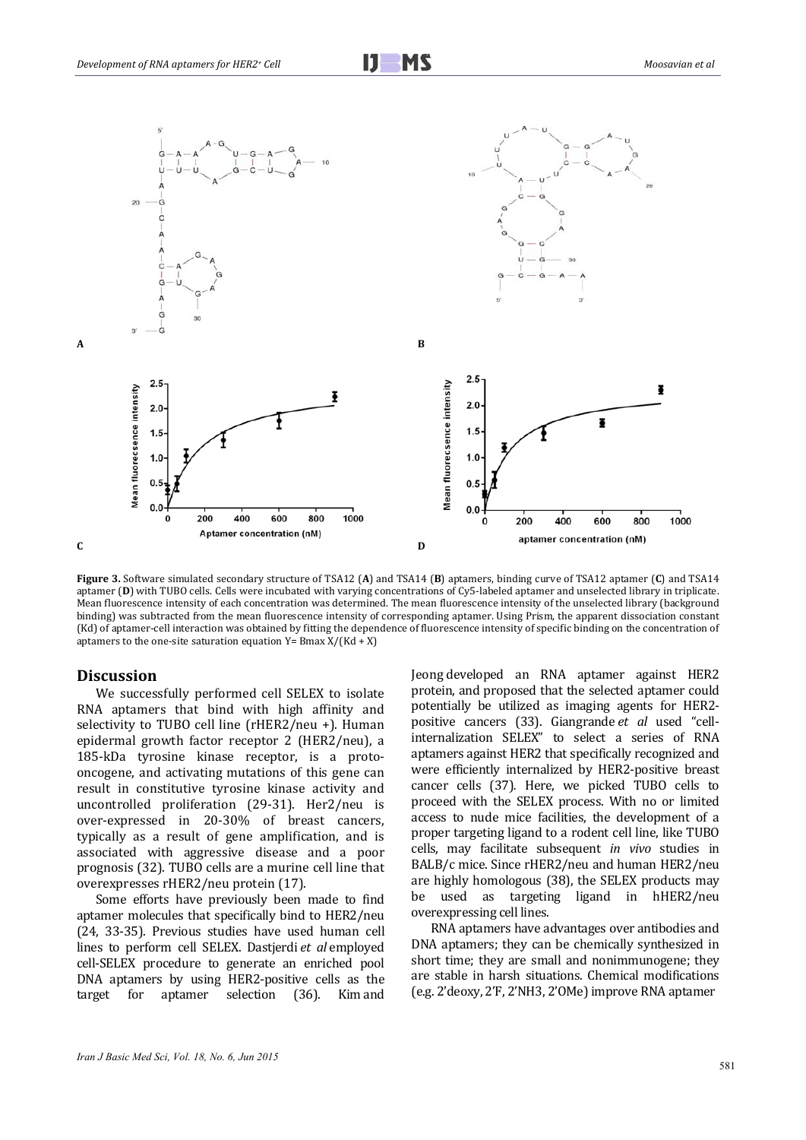

**Figure** 3. Software simulated secondary structure of TSA12 (A) and TSA14 (B) aptamers, binding curve of TSA12 aptamer (C) and TSA14 aptamer (D) with TUBO cells. Cells were incubated with varying concentrations of Cy5-labeled aptamer and unselected library in triplicate. Mean fluorescence intensity of each concentration was determined. The mean fluorescence intensity of the unselected library (background binding) was subtracted from the mean fluorescence intensity of corresponding aptamer. Using Prism, the apparent dissociation constant (Kd) of aptamer-cell interaction was obtained by fitting the dependence of fluorescence intensity of specific binding on the concentration of aptamers to the one-site saturation equation  $Y = Bmax X/(Kd + X)$ 

# Discussion

We successfully performed cell SELEX to isolate RNA aptamers that bind with high affinity and selectivity to TUBO cell line  $(rHER2/neu +)$ . Human epidermal growth factor receptor 2 (HER2/neu), a 185-kDa tyrosine kinase receptor, is a protooncogene, and activating mutations of this gene can result in constitutive tyrosine kinase activity and uncontrolled proliferation (29-31). Her2/neu is over-expressed in 20-30% of breast cancers, typically as a result of gene amplification, and is associated with aggressive disease and a poor prognosis (32). TUBO cells are a murine cell line that overexpresses rHER2/neu protein (17).

Some efforts have previously been made to find aptamer molecules that specifically bind to HER2/neu (24, 33-35). Previous studies have used human cell lines to perform cell SELEX. Dastjerdi et al employed cell-SELEX procedure to generate an enriched pool DNA aptamers by using HER2-positive cells as the target for aptamer selection (36). Kim and Jeong developed an RNA aptamer against HER2 protein, and proposed that the selected aptamer could potentially be utilized as imaging agents for HER2positive cancers (33). Giangrande *et al* used "cell‐ internalization SELEX" to select a series of RNA aptamers against HER2 that specifically recognized and were efficiently internalized by HER2-positive breast cancer cells (37). Here, we picked TUBO cells to proceed with the SELEX process. With no or limited access to nude mice facilities, the development of a proper targeting ligand to a rodent cell line, like TUBO cells, may facilitate subsequent *in vivo* studies in BALB/c mice. Since rHER2/neu and human HER2/neu are highly homologous (38), the SELEX products may be used as targeting ligand in hHER2/neu overexpressing cell lines.

RNA aptamers have advantages over antibodies and DNA aptamers; they can be chemically synthesized in short time; they are small and nonimmunogene; they are stable in harsh situations. Chemical modifications (e.g. 2'deoxy, 2'F, 2'NH3, 2'OMe) improve RNA aptamer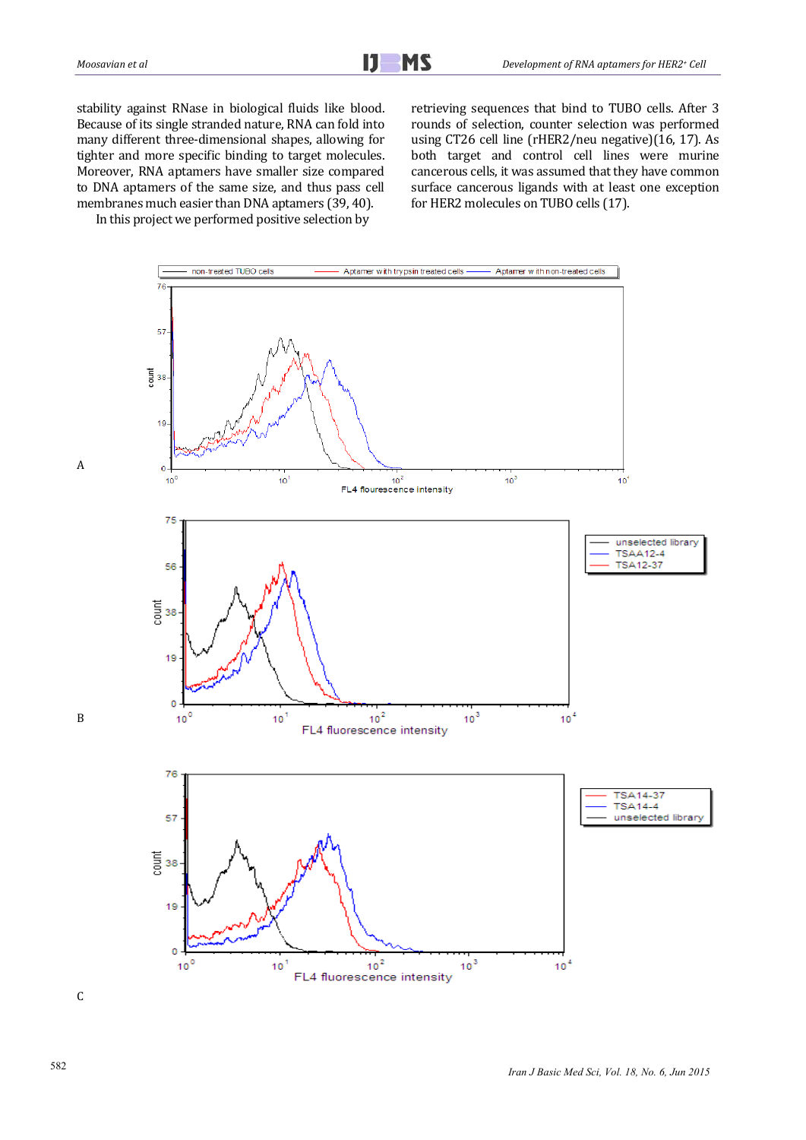stability against RNase in biological fluids like blood. Because of its single stranded nature, RNA can fold into many different three-dimensional shapes, allowing for tighter and more specific binding to target molecules. Moreover, RNA aptamers have smaller size compared to DNA aptamers of the same size, and thus pass cell membranes much easier than DNA aptamers (39, 40).

In this project we performed positive selection by

retrieving sequences that bind to TUBO cells. After 3 rounds of selection, counter selection was performed using CT26 cell line (rHER2/neu negative)(16, 17). As both target and control cell lines were murine cancerous cells, it was assumed that they have common surface cancerous ligands with at least one exception for HER2 molecules on TUBO cells (17).

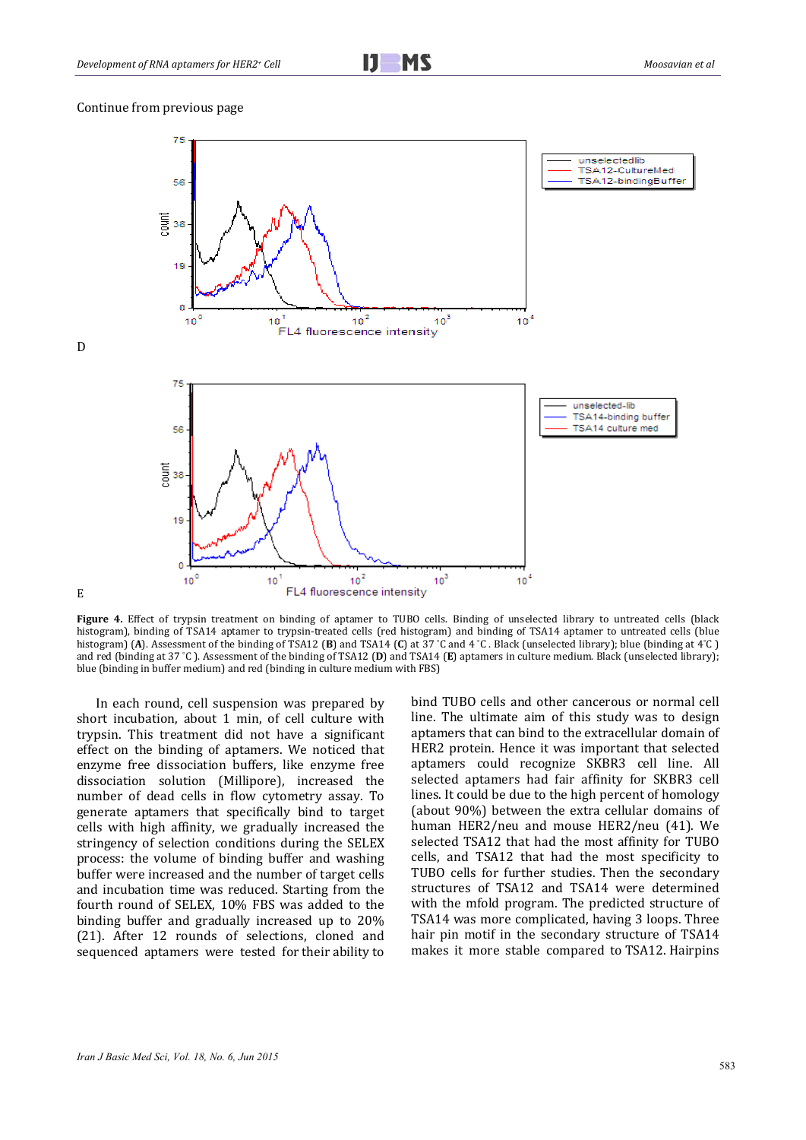#### Continue from previous page

D 

E 



**Figure 4.** Effect of trypsin treatment on binding of aptamer to TUBO cells. Binding of unselected library to untreated cells (black histogram), binding of TSA14 aptamer to trypsin-treated cells (red histogram) and binding of TSA14 aptamer to untreated cells (blue histogram) (A). Assessment of the binding of TSA12 (B) and TSA14 (C) at 37 °C and 4 °C . Black (unselected library); blue (binding at 4°C) and red (binding at 37 °C). Assessment of the binding of TSA12 (D) and TSA14 (E) aptamers in culture medium. Black (unselected library); blue (binding in buffer medium) and red (binding in culture medium with FBS)

In each round, cell suspension was prepared by short incubation, about 1 min, of cell culture with trvpsin. This treatment did not have a significant effect on the binding of aptamers. We noticed that enzyme free dissociation buffers, like enzyme free dissociation solution (Millipore), increased the number of dead cells in flow cytometry assay. To generate aptamers that specifically bind to target cells with high affinity, we gradually increased the stringency of selection conditions during the SELEX process: the volume of binding buffer and washing buffer were increased and the number of target cells and incubation time was reduced. Starting from the fourth round of SELEX, 10% FBS was added to the binding buffer and gradually increased up to 20% (21). After 12 rounds of selections, cloned and sequenced aptamers were tested for their ability to bind TUBO cells and other cancerous or normal cell line. The ultimate aim of this study was to design aptamers that can bind to the extracellular domain of HER2 protein. Hence it was important that selected aptamers could recognize SKBR3 cell line. All selected aptamers had fair affinity for SKBR3 cell lines. It could be due to the high percent of homology (about 90%) between the extra cellular domains of human HER2/neu and mouse HER2/neu (41). We selected TSA12 that had the most affinity for TUBO cells, and TSA12 that had the most specificity to TUBO cells for further studies. Then the secondary structures of TSA12 and TSA14 were determined with the mfold program. The predicted structure of TSA14 was more complicated, having 3 loops. Three hair pin motif in the secondary structure of TSA14 makes it more stable compared to TSA12. Hairpins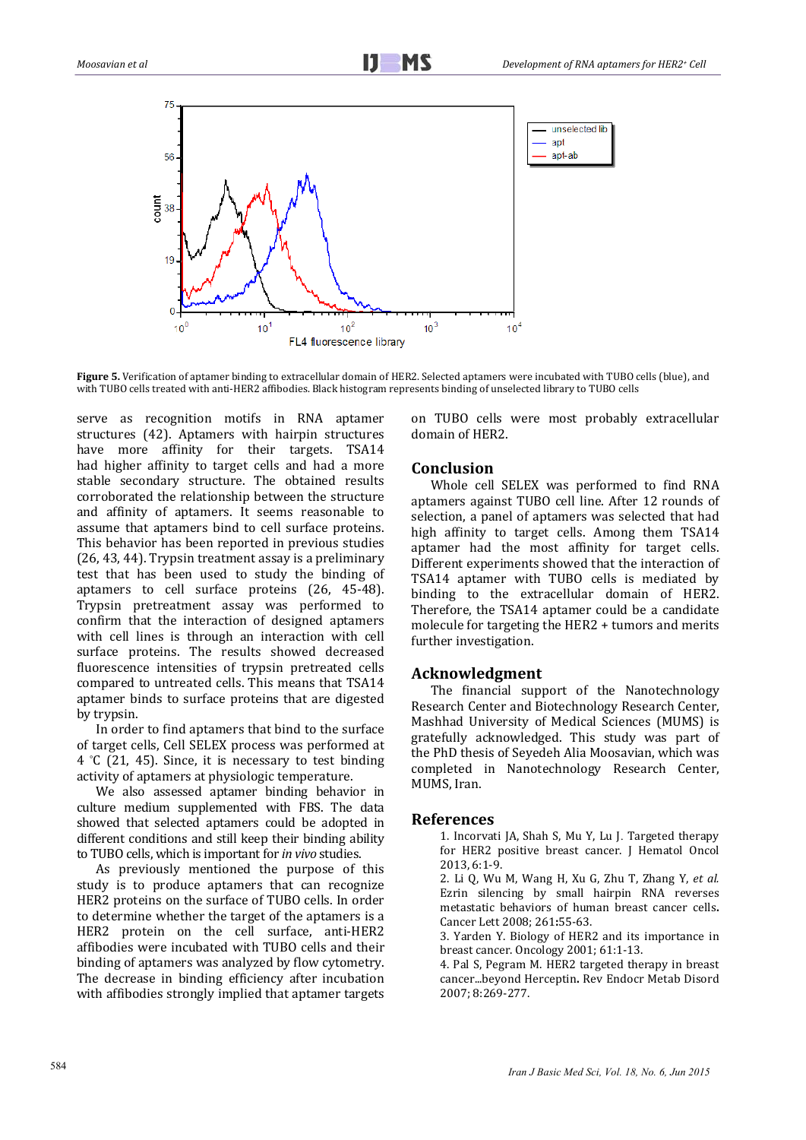

**Figure** 5. Verification of aptamer binding to extracellular domain of HER2. Selected aptamers were incubated with TUBO cells (blue), and with TUBO cells treated with anti-HER2 affibodies. Black histogram represents binding of unselected library to TUBO cells

serve as recognition motifs in RNA aptamer structures (42). Aptamers with hairpin structures have more affinity for their targets. TSA14 had higher affinity to target cells and had a more stable secondary structure. The obtained results corroborated the relationship between the structure and affinity of aptamers. It seems reasonable to assume that aptamers bind to cell surface proteins. This behavior has been reported in previous studies  $(26, 43, 44)$ . Trypsin treatment assay is a preliminary test that has been used to study the binding of aptamers to cell surface proteins (26, 45-48). Trypsin pretreatment assay was performed to confirm that the interaction of designed aptamers with cell lines is through an interaction with cell surface proteins. The results showed decreased fluorescence intensities of trypsin pretreated cells compared to untreated cells. This means that TSA14 aptamer binds to surface proteins that are digested by trypsin.

In order to find aptamers that bind to the surface of target cells, Cell SELEX process was performed at  $4 \text{ }^{\circ}$ C (21, 45). Since, it is necessary to test binding activity of aptamers at physiologic temperature.

We also assessed aptamer binding behavior in culture medium supplemented with FBS. The data showed that selected aptamers could be adopted in different conditions and still keep their binding ability to TUBO cells, which is important for *in vivo* studies.

As previously mentioned the purpose of this study is to produce aptamers that can recognize HER2 proteins on the surface of TUBO cells. In order to determine whether the target of the aptamers is a HER2 protein on the cell surface, anti-HER2 affibodies were incubated with TUBO cells and their binding of aptamers was analyzed by flow cytometry. The decrease in binding efficiency after incubation with affibodies strongly implied that aptamer targets

on TUBO cells were most probably extracellular domain of HER2.

# **Conclusion**

Whole cell SELEX was performed to find RNA aptamers against TUBO cell line. After 12 rounds of selection, a panel of aptamers was selected that had high affinity to target cells. Among them TSA14 aptamer had the most affinity for target cells. Different experiments showed that the interaction of TSA14 aptamer with TUBO cells is mediated by binding to the extracellular domain of HER2. Therefore, the TSA14 aptamer could be a candidate molecule for targeting the HER2  $+$  tumors and merits further investigation.

# **Acknowledgment**

The financial support of the Nanotechnology Research Center and Biotechnology Research Center, Mashhad University of Medical Sciences (MUMS) is gratefully acknowledged. This study was part of the PhD thesis of Seyedeh Alia Moosavian, which was completed in Nanotechnology Research Center, MUMS, Iran.

## **References**

1. Incorvati JA, Shah S, Mu Y, Lu J. Targeted therapy for HER2 positive breast cancer. J Hematol Oncol 2013, 6:1‐9. 

2. Li Q, Wu M, Wang H, Xu G, Zhu T, Zhang Y, et al. Ezrin silencing by small hairpin RNA reverses metastatic behaviors of human breast cancer cells**.** Cancer Lett 2008; 261**:**55‐63. 

3. Yarden Y. Biology of HER2 and its importance in breast cancer. Oncology 2001: 61:1-13.

4. Pal S, Pegram M. HER2 targeted therapy in breast cancer...beyond Herceptin**.** Rev Endocr Metab Disord 2007; 8:269‐277.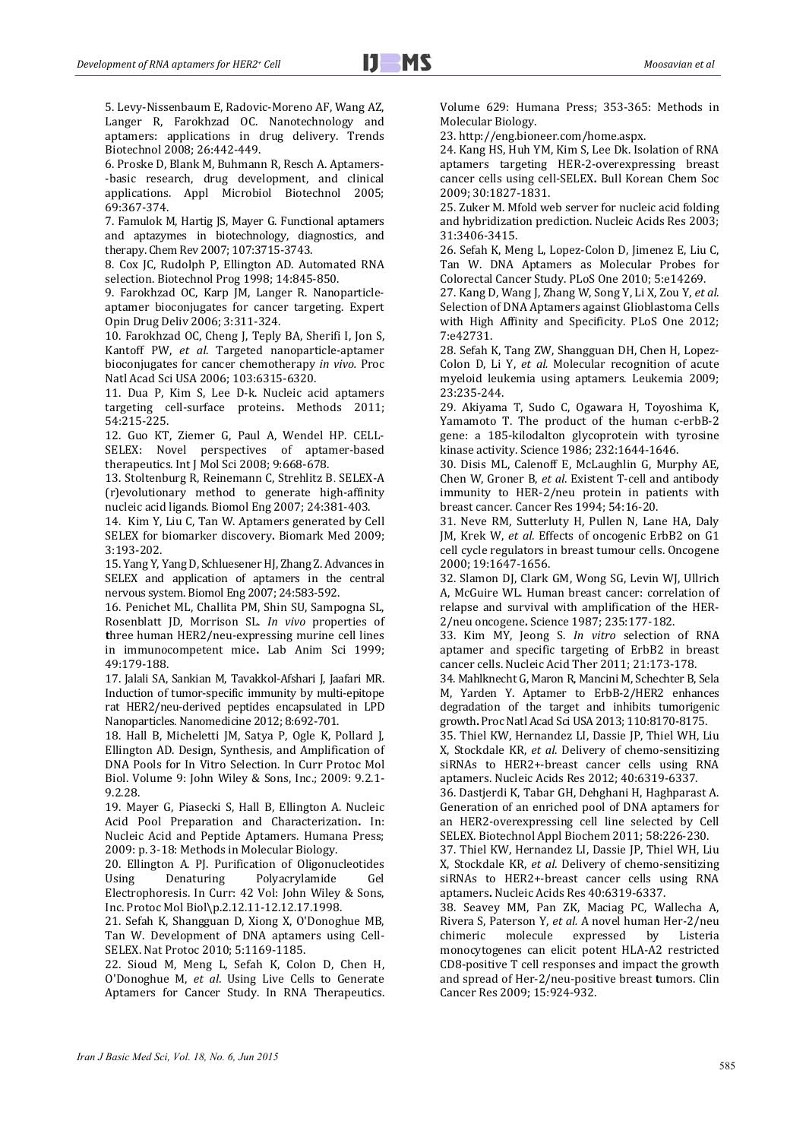5. Levy-Nissenbaum E, Radovic-Moreno AF, Wang AZ, Langer R, Farokhzad OC. Nanotechnology and aptamers: applications in drug delivery. Trends Biotechnol 2008; 26:442-449.

6. Proske D, Blank M, Buhmann R, Resch A. Aptamers-‐basic research, drug development, and clinical applications. Appl Microbiol Biotechnol 2005; 69:367‐374. 

7. Famulok M, Hartig JS, Mayer G. Functional aptamers and aptazymes in biotechnology, diagnostics, and therapy. Chem Rev 2007; 107:3715-3743.

8. Cox JC, Rudolph P, Ellington AD. Automated RNA selection. Biotechnol Prog 1998; 14:845-850.

9. Farokhzad OC, Karp JM, Langer R. Nanoparticleaptamer bioconjugates for cancer targeting. Expert Opin Drug Deliv 2006; 3:311‐324. 

10. Farokhzad OC, Cheng J, Teply BA, Sherifi I, Jon S, Kantoff PW, et al. Targeted nanoparticle-aptamer bioconjugates for cancer chemotherapy *in vivo.* Proc Natl Acad Sci USA 2006; 103:6315-6320.

11. Dua P, Kim S, Lee D-k. Nucleic acid aptamers targeting cell-surface proteins. Methods 2011; 54:215‐225. 

12. Guo KT, Ziemer G, Paul A, Wendel HP. CELL-SELEX: Novel perspectives of aptamer-based therapeutics. Int J Mol Sci 2008; 9:668-678.

13. Stoltenburg R, Reinemann C, Strehlitz B. SELEX-A (r)evolutionary method to generate high‐affinity nucleic acid ligands. Biomol Eng 2007; 24:381-403.

14. Kim Y, Liu C, Tan W. Aptamers generated by Cell SELEX for biomarker discovery. Biomark Med 2009; 3:193‐202. 

15. Yang Y, Yang D, Schluesener HJ, Zhang Z. Advances in SELEX and application of aptamers in the central nervous system. Biomol Eng 2007; 24:583-592.

16. Penichet ML, Challita PM, Shin SU, Sampogna SL, Rosenblatt JD, Morrison SL. *In vivo* properties of three human HER2/neu-expressing murine cell lines in immunocompetent mice. Lab Anim Sci 1999; 49:179‐188. 

17. Jalali SA, Sankian M, Tavakkol-Afshari J, Jaafari MR. Induction of tumor-specific immunity by multi-epitope rat HER2/neu-derived peptides encapsulated in LPD Nanoparticles. Nanomedicine 2012; 8:692-701.

18. Hall B, Micheletti JM, Satya P, Ogle K, Pollard J, Ellington AD. Design, Synthesis, and Amplification of DNA Pools for In Vitro Selection. In Curr Protoc Mol Biol. Volume 9: John Wiley & Sons, Inc.; 2009: 9.2.1-9.2.28. 

19. Mayer G, Piasecki S, Hall B, Ellington A. Nucleic Acid Pool Preparation and Characterization**.** In: Nucleic Acid and Peptide Aptamers. Humana Press; 2009: p. 3-18: Methods in Molecular Biology.

20. Ellington A. PJ. Purification of Oligonucleotides Using Denaturing Polyacrylamide Gel Electrophoresis. In Curr: 42 Vol: John Wiley & Sons, Inc. Protoc Mol Biol\p.2.12.11‐12.12.17.1998.

21. Sefah K, Shangguan D, Xiong X, O'Donoghue MB, Tan W. Development of DNA aptamers using Cell-SELEX. Nat Protoc 2010; 5:1169-1185.

22. Sioud M, Meng L, Sefah K, Colon D, Chen H, O'Donoghue M, et al. Using Live Cells to Generate Aptamers for Cancer Study. In RNA Therapeutics. Volume 629: Humana Press; 353-365: Methods in Molecular Biology.

23. http://eng.bioneer.com/home.aspx. 

24. Kang HS, Huh YM, Kim S, Lee Dk. Isolation of RNA aptamers targeting HER‐2‐overexpressing breast cancer cells using cell-SELEX. Bull Korean Chem Soc 2009; 30:1827‐1831. 

25. Zuker M. Mfold web server for nucleic acid folding and hybridization prediction. Nucleic Acids Res 2003; 31:3406‐3415. 

26. Sefah K, Meng L, Lopez-Colon D, Jimenez E, Liu C, Tan W. DNA Aptamers as Molecular Probes for Colorectal Cancer Study. PLoS One 2010; 5:e14269.

27. Kang D, Wang J, Zhang W, Song Y, Li X, Zou Y, et al. Selection of DNA Aptamers against Glioblastoma Cells with High Affinity and Specificity. PLoS One 2012; 7:e42731. 

28. Sefah K, Tang ZW, Shangguan DH, Chen H, Lopez-Colon D, Li Y, *et al.* Molecular recognition of acute myeloid leukemia using aptamers. Leukemia 2009; 23:235‐244. 

29. Akiyama T, Sudo C, Ogawara H, Toyoshima K, Yamamoto T. The product of the human c-erbB-2 gene: a 185-kilodalton glycoprotein with tyrosine kinase activity. Science 1986; 232:1644-1646.

30. Disis ML, Calenoff E, McLaughlin G, Murphy AE, Chen W, Groner B, et al. Existent T-cell and antibody immunity to HER-2/neu protein in patients with breast cancer. Cancer Res 1994; 54:16-20.

31. Neve RM, Sutterluty H, Pullen N, Lane HA, Daly JM, Krek W, *et al.* Effects of oncogenic ErbB2 on G1 cell cycle regulators in breast tumour cells. Oncogene 2000; 19:1647‐1656. 

32. Slamon DJ, Clark GM, Wong SG, Levin WJ, Ullrich A, McGuire WL. Human breast cancer: correlation of relapse and survival with amplification of the HER-2/neu oncogene**.** Science 1987; 235:177‐182. 

33. Kim MY, Jeong S. *In vitro* selection of RNA aptamer and specific targeting of ErbB2 in breast cancer cells. Nucleic Acid Ther 2011; 21:173-178.

34. Mahlknecht G, Maron R, Mancini M, Schechter B, Sela M, Yarden Y. Aptamer to ErbB-2/HER2 enhances degradation of the target and inhibits tumorigenic growth. Proc Natl Acad Sci USA 2013; 110:8170-8175.

35. Thiel KW, Hernandez LI, Dassie JP, Thiel WH, Liu X, Stockdale KR, *et al*. Delivery of chemo-sensitizing siRNAs to HER2+-breast cancer cells using RNA aptamers. Nucleic Acids Res 2012; 40:6319-6337.

36. Dastjerdi K, Tabar GH, Dehghani H, Haghparast A. Generation of an enriched pool of DNA aptamers for an HER2-overexpressing cell line selected by Cell SELEX. Biotechnol Appl Biochem 2011; 58:226-230.

37. Thiel KW, Hernandez LI, Dassie JP, Thiel WH, Liu X, Stockdale KR, et al. Delivery of chemo-sensitizing siRNAs to HER2+-breast cancer cells using RNA aptamers. Nucleic Acids Res 40:6319-6337.

38. Seavey MM, Pan ZK, Maciag PC, Wallecha A, Rivera S, Paterson Y, et al. A novel human Her-2/neu chimeric molecule expressed by Listeria monocytogenes can elicit potent HLA-A2 restricted CD8-positive T cell responses and impact the growth and spread of Her-2/neu-positive breast tumors. Clin Cancer Res 2009; 15:924-932.